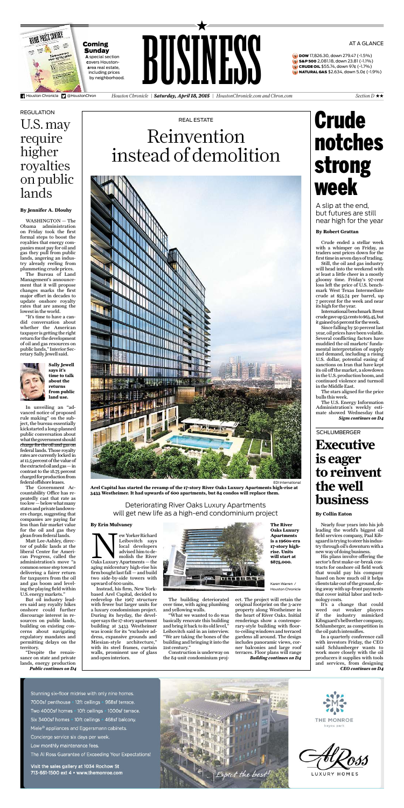

*Houston Chronicle* | *Saturday, April 18, 2015* | *HoustonChronicle.com and Chron.com Section D* ★★

**Sunday** A special section covers Houstonarea real estate, including prices by neighborhood.

**DOW** 17,826.30, down 279.47 (-1.5%) S&P 500 2,081.18, down 23.81 (-1.1%) **CRUDE OIL** \$55.74, down 97¢ (-1.7%) NATURAL GAS \$2.634, down 5.0¢ (-1.9%)



#### AT A GLANCE

Elibovitch says<br>
Leibovitch says<br>
local developers<br>
advised him to de-<br>
molish the River<br>
Oaks Luxury Apartments — the ewYorker Richard Leibovitch says local developers advised him to demolish the River aging midcentury high-rise his firm bought last fall— and build two side-by-side towers with upward of 600 units.

**Arel Capital has started the revamp of the 17-story River Oaks Luxury Apartments high-rise at 3433 Westheimer. It had upwards of 600 apartments, but 84 condos will replace them.**

EDI International

Instead, his firm, New Yorkbased Arel Capital, decided to redevelop the 1967 structure with fewer but larger units for a luxury condominium project. During its heyday, the developer says the 17-story apartment building at 3433 Westheimer was iconic for its "exclusive address, expansive grounds and Miesian-style architecture," with its steel frames, curtain walls, prominent use of glass and open interiors.



*Building continues on D4* ect. The project will retain the original footprint on the 3-acre property along Westheimer in the heart of River Oaks. Initial renderings show a contemporary-style building with floorto-ceiling windows and terraced gardens all around. The design includes panoramic views, corner balconies and large roof terraces. Floor plans will range

## REAL ESTATE Reinvention instead of demolition



The building deteriorated over time, with aging plumbing andyellowing walls.

"What we wanted to do was basically renovate this building and bring it back to its old level,' Leibovitch said in an interview. "We are taking the bones of the building and bringing it into the 21st century."

Construction is underway on the 84-unit condominium proj-

#### **By Erin Mulvaney**

#### Deteriorating River Oaks Luxury Apartments will get new life as a high-end condominium project

### U.S.may require higher royalties on public lands **REGULATION**

Karen Warren / Houston Chronicle

**The River Oaks Luxury**

**Apartments is a 1960s-era 17-story highrise. Units will start at \$875,000.**

WASHINGTON — The Obama administration on Friday took the first formal steps to boost the royalties that energy companies must pay for oil and gas they pull from public lands, angering an industry already reeling from plummeting crude prices.

> It's a change that could weed out weaker players if the industry mimicked Kibsgaard's bellwether company, Schlumberger, as competition in the oil patch intensifies.

**Executive SCHLUMBERGER** 

The Bureau of Land Management's announcement that it will propose changes marks the first major effort in decades to update onshore royalty rates that are among the lowestin the world.

"It's time to have a candid conversation about whether the American taxpayer is getting the right return for the development of oil and gas resources on public lands," Interior Secretary Sally Jewell said.



International benchmark Brent crudegaveup53centsto\$63.45,but it gained 9.6 percent for the week.

Since falling by 50 percent last year, oil prices have been volatile. Several conflicting factors have muddied the oil markets' fundamental interpretation of supply and demand, including a rising U.S. dollar, potential easing of sanctions on Iran that have kept its oil off the market, a slowdown in the U.S. production boom, and continued violence and turmoil in the Middle East.

*Public continues on D4* In unveiling an "advanced notice of proposed rule making" on the subject, the bureau essentially kickstarteda long-planned public conversation about whatthegovernmentshould charge for the oil and gas on federal lands. Those royalty rtes are currently locked in at 12.5 percent of the value of theextractedoilandgas—in contrast to the 18.75 percent charged for production from federaloffshoreleases. The Government Accountability Office has repeatedly cast that rate as too low—below what many states and private landowners charge, suggesting that companies are paying far less than fair market value for the oil and gas they glean from federal lands. Matt Lee-Ashley, director of public lands at the liberal Center for American Progress, called the administration's move "a common sense step toward delivering a fairer return for taxpayers from the oil and gas boom and leveling the playing field within U.S. energymarkets." But oil industry leaders said any royalty hikes onshore could further discourage interest in resources on public lands, building on existing concerns about navigating regulatory mandates and permitting delays on the territory. "Despite the renaissance on state and private lands, energy production

#### **By Jennifer A. Dlouhy**

**Sally Jewell says it's time to talk about the returns from public land use.**

> Nearly four years into his job leading the world's biggest oil field services company, Paal Kibsgaard is trying tosteer his industry through oil's downturn with a new wayofdoing business.

> His plans involve offering the sector's first make-or-break contracts for onshore oil field work that would pay his company based on how much oil it helps clients take out of the ground,doing away with up-front payments that cover initial labor and technology costs.

> In a quarterly conference call with investors Friday, the CEO said Schlumberger wants to work more closely with the oil producers it supplies with tools and services, from designing *CEO continues on D4*

#### **By Collin Eaton**

### **is eager to reinvent the well business**

# Crude notches strong week

Crude ended a stellar week with a whimper on Friday, as traders sent prices down for the first time in seven days of trading.

Still, the oil and gas industry will head into the weekend with at least a little cheer in a mostly gloomy time. Friday's 97-cent loss left the price of U.S. benchmark West Texas Intermediate crude at \$55.74 per barrel, up 7 percent for the week and near its high for the year.

The stars aligned for the price bulls this week.

The U.S. Energy Information Administration's weekly estimate showed Wednesday that *Signs continues on D4*

#### **By Robert Grattan**

A slip at the end, but futures are still near high for the year